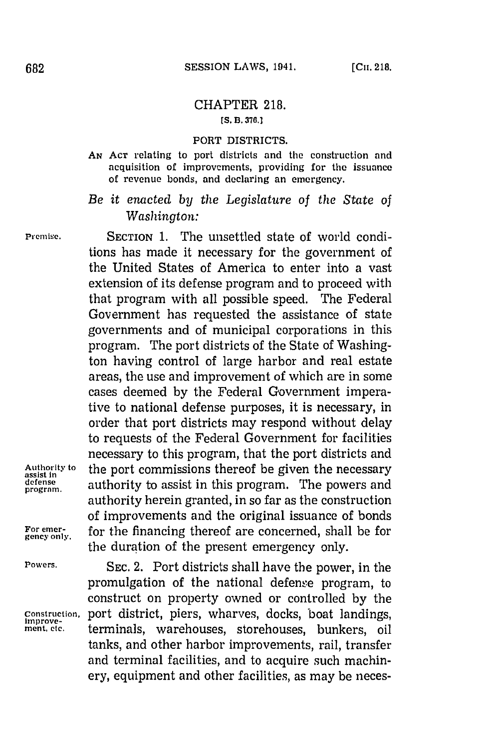## CHAPTER **218. [S. B. 376.1**

## PORT DISTRICTS.

**AN ACT** relating to port districts and the construction and acquisition of improvements, providing for the issuance of revenue bonds, and declaring an emergency.

*Be it enacted by the Legislature of the State of Washington:*

**Premise.** SECTION **1.** The unsettled state of world conditions has made it necessary for the government of the United States of America to enter into a vast extension of its defense program and to proceed with that program with all possible speed. The Federal Government has requested the assistance of state governments and of municipal corporations in this program. The port districts of the State of Washington having control of large harbor and real estate areas, the use and improvement of which are in some cases deemed by the Federal Government imperative to national defense purposes, it is necessary, in order that port districts may respond without delay to requests of the Federal Government for facilities necessary to this program, that the port districts and **Authority to** the port commissions thereof be given the necessary **assist in** defense authority to assist in this program. The powers and authority herein granted, in so far as the construction of improvements and the original issuance of bonds **For emer- for the financing thereof** the duration of the present emergency only.

**Powers. SEC.** 2. Port districts shall have the power, in the promulgation of the national defense program, to construct on property owned or controlled **by** the **Construction,** port district, piers, wharves, docks, boat landings, **improve**terminals, warehouses, storehouses, bunkers, oil tanks, and other harbor improvements, rail, transfer and terminal facilities, and to acquire such machinery, equipment and other facilities, as may be neces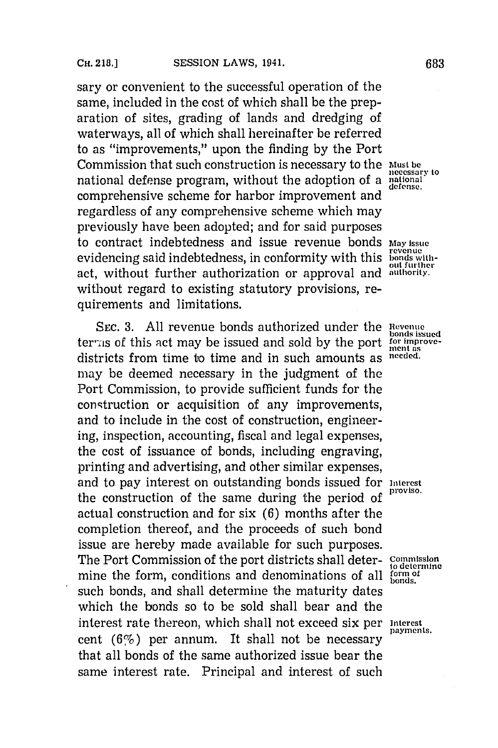sary or convenient to the successful operation of the same, included in the cost of which shall be the preparation of sites, grading of lands and dredging of waterways, all of which shall hereinafter be referred to as "improvements," upon the finding **by** the Port Commission that such construction is necessary to the Must be *becommission* to national defense program, without the adoption of a national comprehensive scheme for harbor improvement and regardless of any comprehensive scheme which may previously have been adopted; and for said purposes to contract indebtedness and issue revenue bonds *may* **issue** evidencing said indebtedness, in conformity with this **bonds** withact, without further authorization or approval and **authority.** without regard to existing statutory provisions, requirements and limitations.

**SEC. 3.** All revenue bonds authorized under the Revenue terms of this act may be issued and sold by the port for improvement as districts from time to time and in such amounts as **needed.** may be deemed necessary in the judgment of the Port Commission, to provide sufficient funds for the construction or acquisition of any improvements, and to include in the cost of construction, engineering, inspection, accounting, fiscal and legal expenses, the cost of issuance of bonds, including engraving, printing and advertising, and other similar expenses, and to pay interest on outstanding bonds issued for **interest** the construction of the same during the period of actual construction and for six **(6)** months after the completion thereof, and the proceeds of such bond issue are hereby made available for such purposes. The Port Commission of the port districts shall deter- $\frac{\text{Commission}}{\text{to determine}}$ mine the form, conditions and denominations of all  $\frac{form}{bonds}$ such bonds, and shall determine the maturity dates which the bonds so to be sold shall bear and the interest rate thereon, which shall not exceed six per *Interest* payments. cent  $(6\%)$  per annum. It shall not be necessary that all bonds of the same authorized issue bear the same interest rate. Principal and interest of such

**bonds** issued<br>for improve-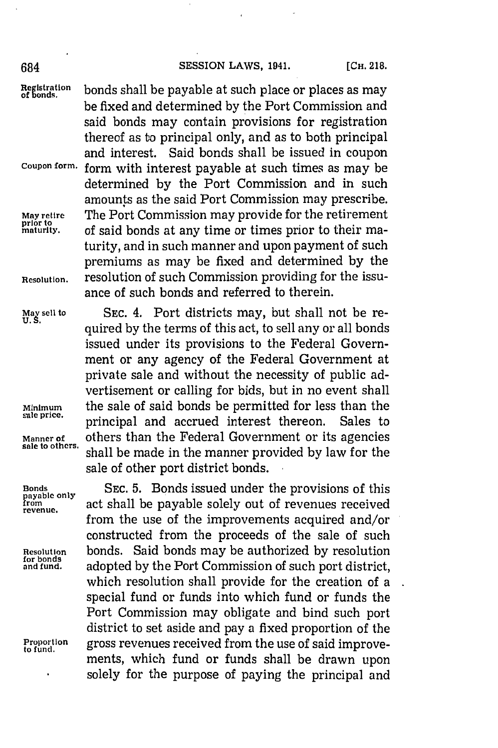## 684 **SESSION LAWS, 1941.** [CH. 218.

 $\frac{Reglstration}{S}$  bonds shall be payable at such place or places as may be fixed and determined **by** the Port Commission and said bonds may contain provisions for registration thereof as to principal only, and as to both principal and interest. Said bonds shall be issued in coupon **Coupon form,** form with interest payable at such times as may be determined **by** the Port Commission and in such amounts as the said Port Commission may prescribe. The Port Commission may provide for the retirement **prior to** of said bonds at any time or times prior to their maturity, and in such manner and upon payment of such premiums as may be fixed and determined **by** the **Resolution,** resolution of such Commission providing for the issuance of such bonds and referred to therein.

May sell to SEC. 4. Port districts may, but shall not be required **by** the terms of this act, to sell any or all bonds issued under its provisions to the Federal Government or any agency of the Federal Government at private sale and without the necessity of public advertisement or calling for bids, but in no event shall **Minimum** the sale of said bonds be permitted for less than the principal and accrued interest thereon. Sales to Manner of others than the Federal Government or its agencies sale to others. shell have needed to the measurement of the last of the shell of the shell have needed to the measurement of the last of the shell have needed to shall be made in the manner provided by law for the sale of other port district bonds.

**Bonds SEC. 5.** Bonds issued under the provisions of this **payable only f rom** act shall be payable solely out of revenues received **revenue.** from the use of the improvements acquired and/or constructed from the proceeds of the sale of such **Resolution bonds.** Said bonds may be authorized by resolution for bonds and fund. adopted by the Port Commission of such port district. adopted by the Port Commission of such port district, which resolution shall provide for the creation of a special fund or funds into which fund or funds the Port Commission may obligate and bind such port district to set aside and pay a fixed proportion of the **Proportion** gross revenues received from the use of said improve- **to fund.** ments, which fund or funds shall be drawn upon solely for the purpose of paying the principal and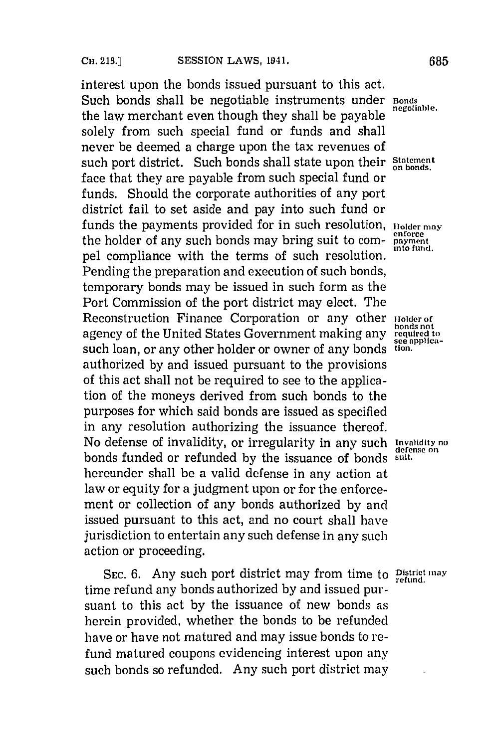interest upon the bonds issued pursuant to this act. Such bonds shall be negotiable instruments under **Bonds** *negotiable*. the law merchant even though they shall be payable. solely from such special fund or funds and shall never be deemed a charge upon the tax revenues of such port district. Such bonds shall state upon their **Statement** face that they are payable from such special fund or funds. Should the corporate authorities of any port district fail to set aside and pay into such fund or funds the payments provided for in such resolution, **Holder may**<br>the holder of any such bonds may bring suit to comthe holder of any such bonds may bring suit to compel compliance with the terms of such resolution. Pending the preparation and execution of such bonds, temporary bonds may be issued in such form as the Port Commission of the port district may elect. The Reconstruction Finance Corporation or any other **Holder** of agency of the United States Government making any **required to**<br>see applicasuch loan, or any other holder or owner of any bonds tion. authorized **by** and issued pursuant to the provisions of this act shall not be required to see to the application of the moneys derived from such bonds to the purposes for which said bonds are issued as specified in any resolution authorizing the issuance thereof. No defense of invalidity, or irregularity in any such **Invalidity no** bonds funded or refunded **by** the issuance of bonds **suit.** hereunder shall be a valid defense in any action at law or equity for a judgment upon or for the enforcement or collection of any bonds authorized **by** and issued pursuant to this act, and no court shall have jurisdiction to entertain any such defense in any such action or proceeding.

SEC. 6. Any such port district may from time to **District may** time refund any bonds authorized **by** and issued pursuant to this act **by** the issuance of new bonds as herein provided, whether the bonds to be refunded have or have not matured and may issue bonds to refund matured coupons evidencing interest upon any such bonds so refunded. Any such port district may

**bonds** not<br>required to